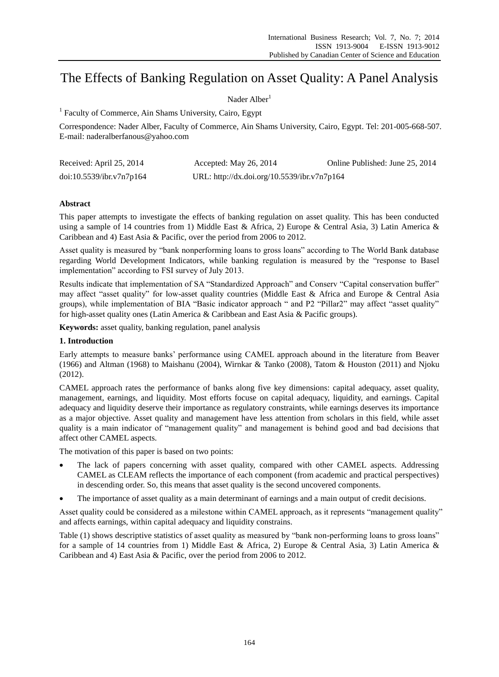# The Effects of Banking Regulation on Asset Quality: A Panel Analysis

## Nader Alber<sup>1</sup>

<sup>1</sup> Faculty of Commerce, Ain Shams University, Cairo, Egypt

Correspondence: Nader Alber, Faculty of Commerce, Ain Shams University, Cairo, Egypt. Tel: 201-005-668-507. E-mail: naderalberfanous@yahoo.com

| Received: April 25, 2014 | Accepted: May 26, 2014                      | Online Published: June 25, 2014 |
|--------------------------|---------------------------------------------|---------------------------------|
| doi:10.5539/ibr.v7n7p164 | URL: http://dx.doi.org/10.5539/ibr.v7n7p164 |                                 |

## **Abstract**

This paper attempts to investigate the effects of banking regulation on asset quality. This has been conducted using a sample of 14 countries from 1) Middle East & Africa, 2) Europe & Central Asia, 3) Latin America & Caribbean and 4) East Asia & Pacific, over the period from 2006 to 2012.

Asset quality is measured by "bank nonperforming loans to gross loans" according to The World Bank database regarding World Development Indicators, while banking regulation is measured by the "response to Basel implementation" according to FSI survey of July 2013.

Results indicate that implementation of SA "Standardized Approach" and Conserv "Capital conservation buffer" may affect "asset quality" for low-asset quality countries (Middle East & Africa and Europe & Central Asia groups), while implementation of BIA "Basic indicator approach " and P2 "Pillar2" may affect "asset quality" for high-asset quality ones (Latin America & Caribbean and East Asia & Pacific groups).

**Keywords:** asset quality, banking regulation, panel analysis

## **1. Introduction**

Early attempts to measure banks' performance using CAMEL approach abound in the literature from Beaver (1966) and Altman (1968) to Maishanu (2004), Wirnkar & Tanko (2008), Tatom & Houston (2011) and Njoku (2012).

CAMEL approach rates the performance of banks along five key dimensions: capital adequacy, asset quality, management, earnings, and liquidity. Most efforts focuse on capital adequacy, liquidity, and earnings. Capital adequacy and liquidity deserve their importance as regulatory constraints, while earnings deserves its importance as a major objective. Asset quality and management have less attention from scholars in this field, while asset quality is a main indicator of "management quality" and management is behind good and bad decisions that affect other CAMEL aspects.

The motivation of this paper is based on two points:

- The lack of papers concerning with asset quality, compared with other CAMEL aspects. Addressing CAMEL as CLEAM reflects the importance of each component (from academic and practical perspectives) in descending order. So, this means that asset quality is the second uncovered components.
- The importance of asset quality as a main determinant of earnings and a main output of credit decisions.

Asset quality could be considered as a milestone within CAMEL approach, as it represents "management quality" and affects earnings, within capital adequacy and liquidity constrains.

Table (1) shows descriptive statistics of asset quality as measured by "bank non-performing loans to gross loans" for a sample of 14 countries from 1) Middle East & Africa, 2) Europe & Central Asia, 3) Latin America & Caribbean and 4) East Asia & Pacific, over the period from 2006 to 2012.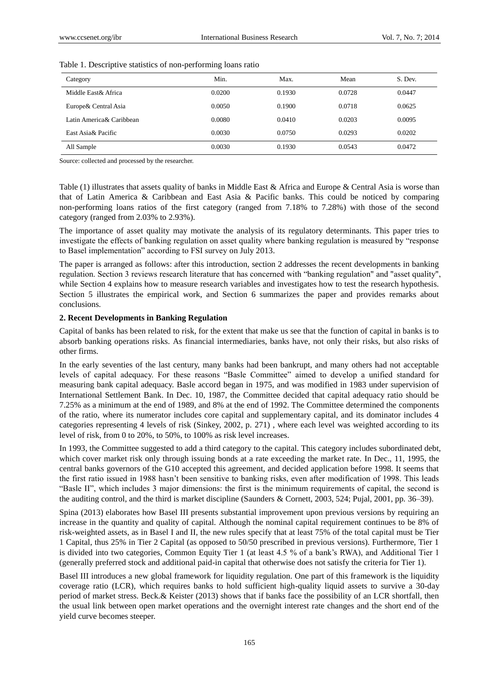| Category                 | Min.   | Max.   | Mean   | S. Dev. |
|--------------------------|--------|--------|--------|---------|
| Middle East & Africa     | 0.0200 | 0.1930 | 0.0728 | 0.0447  |
| Europe & Central Asia    | 0.0050 | 0.1900 | 0.0718 | 0.0625  |
| Latin America& Caribbean | 0.0080 | 0.0410 | 0.0203 | 0.0095  |
| East Asia & Pacific      | 0.0030 | 0.0750 | 0.0293 | 0.0202  |
| All Sample               | 0.0030 | 0.1930 | 0.0543 | 0.0472  |

#### Table 1. Descriptive statistics of non-performing loans ratio

Source: collected and processed by the researcher.

Table (1) illustrates that assets quality of banks in Middle East & Africa and Europe & Central Asia is worse than that of Latin America & Caribbean and East Asia & Pacific banks. This could be noticed by comparing non-performing loans ratios of the first category (ranged from 7.18% to 7.28%) with those of the second category (ranged from 2.03% to 2.93%).

The importance of asset quality may motivate the analysis of its regulatory determinants. This paper tries to investigate the effects of banking regulation on asset quality where banking regulation is measured by "response to Basel implementation" according to FSI survey on July 2013.

The paper is arranged as follows: after this introduction, section 2 addresses the recent developments in banking regulation. Section 3 reviews research literature that has concerned with "banking regulation" and "asset quality", while Section 4 explains how to measure research variables and investigates how to test the research hypothesis. Section 5 illustrates the empirical work, and Section 6 summarizes the paper and provides remarks about conclusions.

#### **2. Recent Developments in Banking Regulation**

Capital of banks has been related to risk, for the extent that make us see that the function of capital in banks is to absorb banking operations risks. As financial intermediaries, banks have, not only their risks, but also risks of other firms.

In the early seventies of the last century, many banks had been bankrupt, and many others had not acceptable levels of capital adequacy. For these reasons "Basle Committee" aimed to develop a unified standard for measuring bank capital adequacy. Basle accord began in 1975, and was modified in 1983 under supervision of International Settlement Bank. In Dec. 10, 1987, the Committee decided that capital adequacy ratio should be 7.25% as a minimum at the end of 1989, and 8% at the end of 1992. The Committee determined the components of the ratio, where its numerator includes core capital and supplementary capital, and its dominator includes 4 categories representing 4 levels of risk (Sinkey, 2002, p. 271) , where each level was weighted according to its level of risk, from 0 to 20%, to 50%, to 100% as risk level increases.

In 1993, the Committee suggested to add a third category to the capital. This category includes subordinated debt, which cover market risk only through issuing bonds at a rate exceeding the market rate. In Dec., 11, 1995, the central banks governors of the G10 accepted this agreement, and decided application before 1998. It seems that the first ratio issued in 1988 hasn't been sensitive to banking risks, even after modification of 1998. This leads "Basle ΙΙ", which includes 3 major dimensions: the first is the minimum requirements of capital, the second is the auditing control, and the third is market discipline (Saunders & Cornett, 2003, 524; Pujal, 2001, pp. 36–39).

Spina (2013) elaborates how Basel III presents substantial improvement upon previous versions by requiring an increase in the quantity and quality of capital. Although the nominal capital requirement continues to be 8% of risk-weighted assets, as in Basel I and II, the new rules specify that at least 75% of the total capital must be Tier 1 Capital, thus 25% in Tier 2 Capital (as opposed to 50/50 prescribed in previous versions). Furthermore, Tier 1 is divided into two categories, Common Equity Tier 1 (at least 4.5 % of a bank's RWA), and Additional Tier 1 (generally preferred stock and additional paid-in capital that otherwise does not satisfy the criteria for Tier 1).

Basel III introduces a new global framework for liquidity regulation. One part of this framework is the liquidity coverage ratio (LCR), which requires banks to hold sufficient high-quality liquid assets to survive a 30-day period of market stress. Beck.& Keister (2013) shows that if banks face the possibility of an LCR shortfall, then the usual link between open market operations and the overnight interest rate changes and the short end of the yield curve becomes steeper.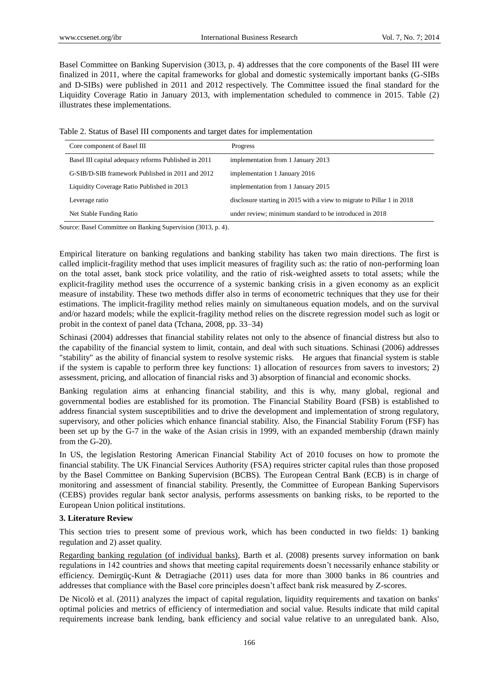Basel Committee on Banking Supervision (3013, p. 4) addresses that the core components of the Basel III were finalized in 2011, where the capital frameworks for global and domestic systemically important banks (G-SIBs and D-SIBs) were published in 2011 and 2012 respectively. The Committee issued the final standard for the Liquidity Coverage Ratio in January 2013, with implementation scheduled to commence in 2015. Table (2) illustrates these implementations.

Table 2. Status of Basel III components and target dates for implementation

| Core component of Basel III                          | Progress                                                               |
|------------------------------------------------------|------------------------------------------------------------------------|
| Basel III capital adequacy reforms Published in 2011 | implementation from 1 January 2013                                     |
| G-SIB/D-SIB framework Published in 2011 and 2012     | implementation 1 January 2016                                          |
| Liquidity Coverage Ratio Published in 2013           | implementation from 1 January 2015                                     |
| Leverage ratio                                       | disclosure starting in 2015 with a view to migrate to Pillar 1 in 2018 |
| Net Stable Funding Ratio                             | under review; minimum standard to be introduced in 2018                |

Source: Basel Committee on Banking Supervision (3013, p. 4).

Empirical literature on banking regulations and banking stability has taken two main directions. The first is called implicit-fragility method that uses implicit measures of fragility such as: the ratio of non-performing loan on the total asset, bank stock price volatility, and the ratio of risk-weighted assets to total assets; while the explicit-fragility method uses the occurrence of a systemic banking crisis in a given economy as an explicit measure of instability. These two methods differ also in terms of econometric techniques that they use for their estimations. The implicit-fragility method relies mainly on simultaneous equation models, and on the survival and/or hazard models; while the explicit-fragility method relies on the discrete regression model such as logit or probit in the context of panel data (Tchana, 2008, pp. 33–34)

Schinasi (2004) addresses that financial stability relates not only to the absence of financial distress but also to the capability of the financial system to limit, contain, and deal with such situations. Schinasi (2006) addresses "stability" as the ability of financial system to resolve systemic risks. He argues that financial system is stable if the system is capable to perform three key functions: 1) allocation of resources from savers to investors; 2) assessment, pricing, and allocation of financial risks and 3) absorption of financial and economic shocks.

Banking regulation aims at enhancing financial stability, and this is why, many global, regional and governmental bodies are established for its promotion. The Financial Stability Board (FSB) is established to address financial system susceptibilities and to drive the development and implementation of strong regulatory, supervisory, and other policies which enhance financial stability. Also, the Financial Stability Forum (FSF) has been set up by the G-7 in the wake of the Asian crisis in 1999, with an expanded membership (drawn mainly from the G-20).

In US, the legislation Restoring American Financial Stability Act of 2010 focuses on how to promote the financial stability. The UK Financial Services Authority (FSA) requires stricter capital rules than those proposed by the Basel Committee on Banking Supervision (BCBS). The European Central Bank (ECB) is in charge of monitoring and assessment of financial stability. Presently, the Committee of European Banking Supervisors (CEBS) provides regular bank sector analysis, performs assessments on banking risks, to be reported to the European Union political institutions.

### **3. Literature Review**

This section tries to present some of previous work, which has been conducted in two fields: 1) banking regulation and 2) asset quality.

Regarding banking regulation (of individual banks), Barth et al. (2008) presents survey information on bank regulations in 142 countries and shows that meeting capital requirements doesn't necessarily enhance stability or efficiency. Demirgüç-Kunt & Detragiache (2011) uses data for more than 3000 banks in 86 countries and addresses that compliance with the Basel core principles doesn't affect bank risk measured by Z-scores.

De Nicolò et al. (2011) analyzes the impact of capital regulation, liquidity requirements and taxation on banks' optimal policies and metrics of efficiency of intermediation and social value. Results indicate that mild capital requirements increase bank lending, bank efficiency and social value relative to an unregulated bank. Also,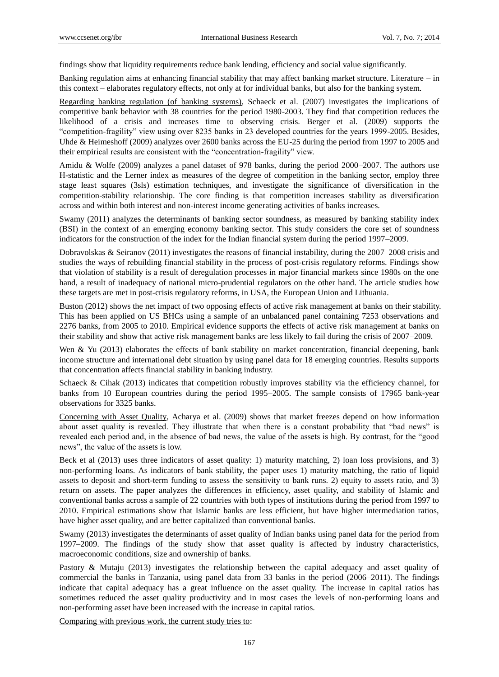findings show that liquidity requirements reduce bank lending, efficiency and social value significantly.

Banking regulation aims at enhancing financial stability that may affect banking market structure. Literature – in this context – elaborates regulatory effects, not only at for individual banks, but also for the banking system.

Regarding banking regulation (of banking systems), Schaeck et al. (2007) investigates the implications of competitive bank behavior with 38 countries for the period 1980-2003. They find that competition reduces the likelihood of a crisis and increases time to observing crisis. Berger et al. (2009) supports the "competition-fragility" view using over 8235 banks in 23 developed countries for the years 1999-2005. Besides, Uhde & Heimeshoff (2009) analyzes over 2600 banks across the EU-25 during the period from 1997 to 2005 and their empirical results are consistent with the "concentration-fragility" view.

Amidu & Wolfe (2009) analyzes a panel dataset of 978 banks, during the period 2000–2007. The authors use H-statistic and the Lerner index as measures of the degree of competition in the banking sector, employ three stage least squares (3sls) estimation techniques, and investigate the significance of diversification in the competition-stability relationship. The core finding is that competition increases stability as diversification across and within both interest and non-interest income generating activities of banks increases.

Swamy (2011) analyzes the determinants of banking sector soundness, as measured by banking stability index (BSI) in the context of an emerging economy banking sector. This study considers the core set of soundness indicators for the construction of the index for the Indian financial system during the period 1997–2009.

Dobravolskas & Seiranov (2011) investigates the reasons of financial instability, during the 2007–2008 crisis and studies the ways of rebuilding financial stability in the process of post-crisis regulatory reforms. Findings show that violation of stability is a result of deregulation processes in major financial markets since 1980s on the one hand, a result of inadequacy of national micro-prudential regulators on the other hand. The article studies how these targets are met in post-crisis regulatory reforms, in USA, the European Union and Lithuania.

Buston (2012) shows the net impact of two opposing effects of active risk management at banks on their stability. This has been applied on US BHCs using a sample of an unbalanced panel containing 7253 observations and 2276 banks, from 2005 to 2010. Empirical evidence supports the effects of active risk management at banks on their stability and show that active risk management banks are less likely to fail during the crisis of 2007–2009.

Wen & Yu (2013) elaborates the effects of bank stability on market concentration, financial deepening, bank income structure and international debt situation by using panel data for 18 emerging countries. Results supports that concentration affects financial stability in banking industry.

Schaeck & Cihak (2013) indicates that competition robustly improves stability via the efficiency channel, for banks from 10 European countries during the period 1995–2005. The sample consists of 17965 bank-year observations for 3325 banks.

Concerning with Asset Quality, Acharya et al. (2009) shows that market freezes depend on how information about asset quality is revealed. They illustrate that when there is a constant probability that "bad news" is revealed each period and, in the absence of bad news, the value of the assets is high. By contrast, for the "good news", the value of the assets is low.

Beck et al (2013) uses three indicators of asset quality: 1) maturity matching, 2) loan loss provisions, and 3) non-performing loans. As indicators of bank stability, the paper uses 1) maturity matching, the ratio of liquid assets to deposit and short-term funding to assess the sensitivity to bank runs. 2) equity to assets ratio, and 3) return on assets. The paper analyzes the differences in efficiency, asset quality, and stability of Islamic and conventional banks across a sample of 22 countries with both types of institutions during the period from 1997 to 2010. Empirical estimations show that Islamic banks are less efficient, but have higher intermediation ratios, have higher asset quality, and are better capitalized than conventional banks.

Swamy (2013) investigates the determinants of asset quality of Indian banks using panel data for the period from 1997–2009. The findings of the study show that asset quality is affected by industry characteristics, macroeconomic conditions, size and ownership of banks.

Pastory & Mutaju (2013) investigates the relationship between the capital adequacy and asset quality of commercial the banks in Tanzania, using panel data from 33 banks in the period (2006–2011). The findings indicate that capital adequacy has a great influence on the asset quality. The increase in capital ratios has sometimes reduced the asset quality productivity and in most cases the levels of non-performing loans and non-performing asset have been increased with the increase in capital ratios.

Comparing with previous work, the current study tries to: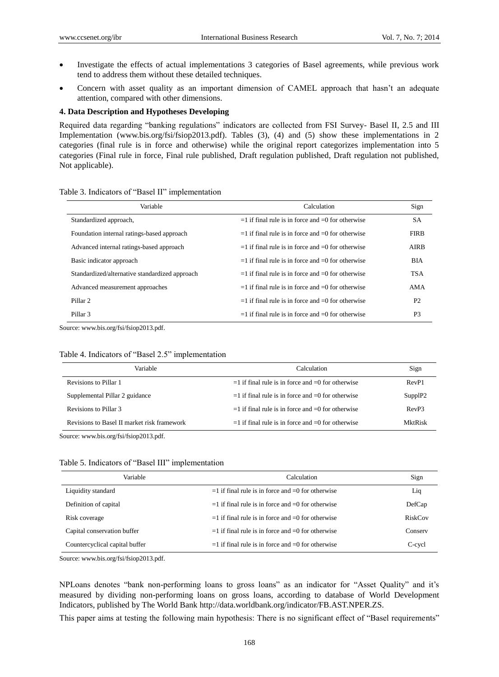- Investigate the effects of actual implementations 3 categories of Basel agreements, while previous work tend to address them without these detailed techniques.
- Concern with asset quality as an important dimension of CAMEL approach that hasn't an adequate attention, compared with other dimensions.

#### **4. Data Description and Hypotheses Developing**

Required data regarding "banking regulations" indicators are collected from FSI Survey- Basel II, 2.5 and III Implementation (www.bis.org/fsi/fsiop2013.pdf). Tables (3), (4) and (5) show these implementations in 2 categories (final rule is in force and otherwise) while the original report categorizes implementation into 5 categories (Final rule in force, Final rule published, Draft regulation published, Draft regulation not published, Not applicable).

| Variable                                       | Calculation                                             | Sign           |
|------------------------------------------------|---------------------------------------------------------|----------------|
| Standardized approach,                         | $=$ 1 if final rule is in force and $=$ 0 for otherwise | <b>SA</b>      |
| Foundation internal ratings-based approach     | $=$ 1 if final rule is in force and $=$ 0 for otherwise | <b>FIRB</b>    |
| Advanced internal ratings-based approach       | $=$ 1 if final rule is in force and $=$ 0 for otherwise | AIRB           |
| Basic indicator approach                       | $=$ 1 if final rule is in force and $=$ 0 for otherwise | <b>BIA</b>     |
| Standardized/alternative standardized approach | $=$ 1 if final rule is in force and $=$ 0 for otherwise | <b>TSA</b>     |
| Advanced measurement approaches                | $=$ 1 if final rule is in force and $=$ 0 for otherwise | AMA            |
| Pillar <sub>2</sub>                            | $=$ 1 if final rule is in force and $=$ 0 for otherwise | <b>P2</b>      |
| Pillar <sub>3</sub>                            | $=$ 1 if final rule is in force and $=$ 0 for otherwise | P <sub>3</sub> |

#### Table 3. Indicators of "Basel II" implementation

Source: www.bis.org/fsi/fsiop2013.pdf.

#### Table 4. Indicators of "Basel 2.5" implementation

| Variable                                    | Calculation                                           | Sign                      |
|---------------------------------------------|-------------------------------------------------------|---------------------------|
| Revisions to Pillar 1                       | $=1$ if final rule is in force and $=0$ for otherwise | RevP1                     |
| Supplemental Pillar 2 guidance              | $=1$ if final rule is in force and $=0$ for otherwise | $Supp$ <sup>1</sup> $P$ 2 |
| Revisions to Pillar 3                       | $=1$ if final rule is in force and $=0$ for otherwise | Rev <sub>P3</sub>         |
| Revisions to Basel II market risk framework | $=1$ if final rule is in force and $=0$ for otherwise | MktRisk                   |

Source: www.bis.org/fsi/fsiop2013.pdf.

|  |  |  |  | Table 5. Indicators of "Basel III" implementation |
|--|--|--|--|---------------------------------------------------|
|--|--|--|--|---------------------------------------------------|

| Variable                       | Calculation                                             | Sign    |
|--------------------------------|---------------------------------------------------------|---------|
| Liquidity standard             | $=$ 1 if final rule is in force and $=$ 0 for otherwise | Liq     |
| Definition of capital          | $=$ 1 if final rule is in force and $=$ 0 for otherwise | DefCap  |
| Risk coverage                  | $=$ 1 if final rule is in force and $=$ 0 for otherwise | RiskCov |
| Capital conservation buffer    | $=$ 1 if final rule is in force and $=$ 0 for otherwise | Conserv |
| Countercyclical capital buffer | $=$ 1 if final rule is in force and $=$ 0 for otherwise | C-cycl  |

Source: www.bis.org/fsi/fsiop2013.pdf.

NPLoans denotes "bank non-performing loans to gross loans" as an indicator for "Asset Quality" and it's measured by dividing non-performing loans on gross loans, according to database of World Development Indicators, published by The World Bank http://data.worldbank.org/indicator/FB.AST.NPER.ZS.

This paper aims at testing the following main hypothesis: There is no significant effect of "Basel requirements"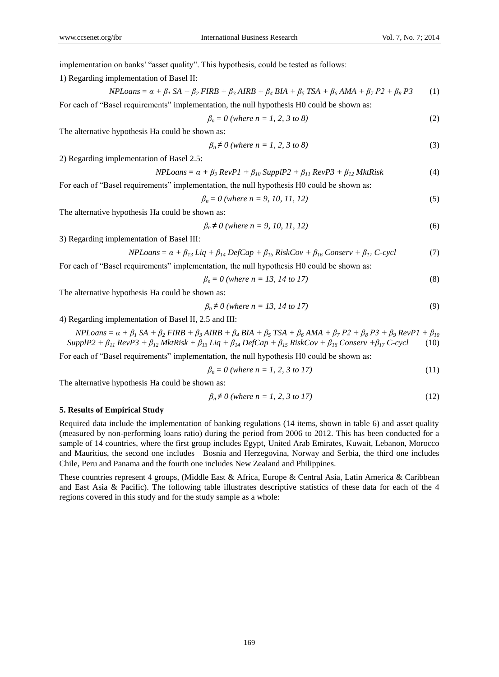implementation on banks' "asset quality". This hypothesis, could be tested as follows:

1) Regarding implementation of Basel II:

$$
NPLoans = \alpha + \beta_1 SA + \beta_2 FIRB + \beta_3 AIRB + \beta_4 BIA + \beta_5 TSA + \beta_6 AMA + \beta_7 P2 + \beta_8 P3
$$
 (1)

For each of "Basel requirements" implementation, the null hypothesis H0 could be shown as:

$$
\beta_n = 0 \text{ (where } n = 1, 2, 3 \text{ to } 8)
$$
 (2)

The alternative hypothesis Ha could be shown as:

$$
\beta_n \neq 0 \text{ (where } n = 1, 2, 3 \text{ to } 8)
$$
\n
$$
(3)
$$

2) Regarding implementation of Basel 2.5:

$$
NPLoans = \alpha + \beta_9 \, RevP1 + \beta_{10} \, SupplP2 + \beta_{11} \, RevP3 + \beta_{12} \, MktRisk \tag{4}
$$

For each of "Basel requirements" implementation, the null hypothesis H0 could be shown as:

$$
\beta_n = 0 \text{ (where } n = 9, 10, 11, 12) \tag{5}
$$

The alternative hypothesis Ha could be shown as:

$$
\beta_n \neq 0 \text{ (where } n = 9, 10, 11, 12) \tag{6}
$$

3) Regarding implementation of Basel III:

$$
NPLoans = \alpha + \beta_{13} \, Liq + \beta_{14} \, DefCap + \beta_{15} \, RiskCov + \beta_{16} \, Conserv + \beta_{17} \, C\text{-cycl} \tag{7}
$$

For each of "Basel requirements" implementation, the null hypothesis H0 could be shown as:

$$
\beta_n = 0 \text{ (where } n = 13, 14 \text{ to } 17) \tag{8}
$$

The alternative hypothesis Ha could be shown as:

$$
\beta_n \neq 0 \text{ (where } n = 13, 14 \text{ to } 17) \tag{9}
$$

4) Regarding implementation of Basel II, 2.5 and III:

$$
NPLoans = \alpha + \beta_1 SA + \beta_2 FIRB + \beta_3 AIRB + \beta_4 BIA + \beta_5 TSA + \beta_6 AMA + \beta_7 P2 + \beta_8 P3 + \beta_9 RevP1 + \beta_{10}
$$
  
SupplP2 +  $\beta_{11} RevP3 + \beta_{12} MktRisk + \beta_{13} Lia + \beta_{14} DefCap + \beta_{15} RiskCov + \beta_{16} Conserv + \beta_{17} C-cycl$  (10)

For each of "Basel requirements" implementation, the null hypothesis H0 could be shown as:

$$
\beta_n = 0 \text{ (where } n = 1, 2, 3 \text{ to } 17) \tag{11}
$$

The alternative hypothesis Ha could be shown as:

$$
\beta_n \neq 0 \text{ (where } n = 1, 2, 3 \text{ to } 17) \tag{12}
$$

#### **5. Results of Empirical Study**

Required data include the implementation of banking regulations (14 items, shown in table 6) and asset quality (measured by non-performing loans ratio) during the period from 2006 to 2012. This has been conducted for a sample of 14 countries, where the first group includes Egypt, United Arab Emirates, Kuwait, Lebanon, Morocco and Mauritius, the second one includes Bosnia and Herzegovina, Norway and Serbia, the third one includes Chile, Peru and Panama and the fourth one includes New Zealand and Philippines.

These countries represent 4 groups, (Middle East & Africa, Europe & Central Asia, Latin America & Caribbean and East Asia & Pacific). The following table illustrates descriptive statistics of these data for each of the 4 regions covered in this study and for the study sample as a whole: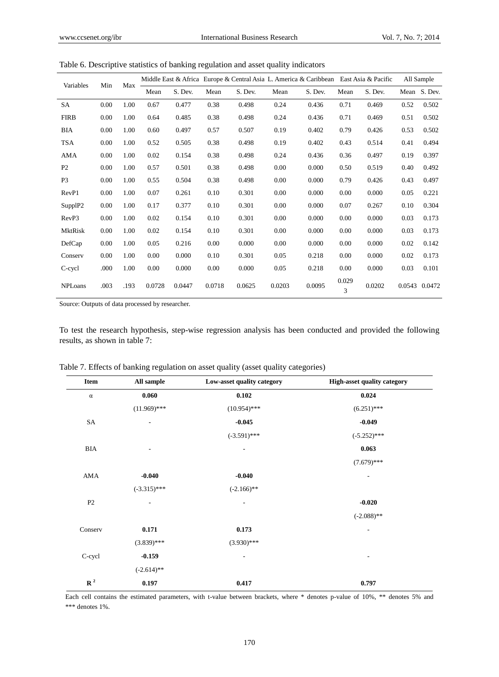| Variables      | Min  | Max  |         |        |         |        |         | Middle East & Africa Europe & Central Asia L. America & Caribbean |                       | East Asia & Pacific |         | All Sample |
|----------------|------|------|---------|--------|---------|--------|---------|-------------------------------------------------------------------|-----------------------|---------------------|---------|------------|
|                |      | Mean | S. Dev. | Mean   | S. Dev. | Mean   | S. Dev. | Mean                                                              | S. Dev.               | Mean                | S. Dev. |            |
| SA             | 0.00 | 1.00 | 0.67    | 0.477  | 0.38    | 0.498  | 0.24    | 0.436                                                             | 0.71                  | 0.469               | 0.52    | 0.502      |
| <b>FIRB</b>    | 0.00 | 1.00 | 0.64    | 0.485  | 0.38    | 0.498  | 0.24    | 0.436                                                             | 0.71                  | 0.469               | 0.51    | 0.502      |
| <b>BIA</b>     | 0.00 | 1.00 | 0.60    | 0.497  | 0.57    | 0.507  | 0.19    | 0.402                                                             | 0.79                  | 0.426               | 0.53    | 0.502      |
| <b>TSA</b>     | 0.00 | 1.00 | 0.52    | 0.505  | 0.38    | 0.498  | 0.19    | 0.402                                                             | 0.43                  | 0.514               | 0.41    | 0.494      |
| AMA            | 0.00 | 1.00 | 0.02    | 0.154  | 0.38    | 0.498  | 0.24    | 0.436                                                             | 0.36                  | 0.497               | 0.19    | 0.397      |
| P <sub>2</sub> | 0.00 | 1.00 | 0.57    | 0.501  | 0.38    | 0.498  | 0.00    | 0.000                                                             | 0.50                  | 0.519               | 0.40    | 0.492      |
| P <sub>3</sub> | 0.00 | 1.00 | 0.55    | 0.504  | 0.38    | 0.498  | 0.00    | 0.000                                                             | 0.79                  | 0.426               | 0.43    | 0.497      |
| RevP1          | 0.00 | 1.00 | 0.07    | 0.261  | 0.10    | 0.301  | 0.00    | 0.000                                                             | 0.00                  | 0.000               | 0.05    | 0.221      |
| SupplP2        | 0.00 | 1.00 | 0.17    | 0.377  | 0.10    | 0.301  | 0.00    | 0.000                                                             | 0.07                  | 0.267               | 0.10    | 0.304      |
| RevP3          | 0.00 | 1.00 | 0.02    | 0.154  | 0.10    | 0.301  | 0.00    | 0.000                                                             | 0.00                  | 0.000               | 0.03    | 0.173      |
| <b>MktRisk</b> | 0.00 | 1.00 | 0.02    | 0.154  | 0.10    | 0.301  | 0.00    | 0.000                                                             | 0.00                  | 0.000               | 0.03    | 0.173      |
| DefCap         | 0.00 | 1.00 | 0.05    | 0.216  | 0.00    | 0.000  | 0.00    | 0.000                                                             | 0.00                  | 0.000               | 0.02    | 0.142      |
| Conserv        | 0.00 | 1.00 | 0.00    | 0.000  | 0.10    | 0.301  | 0.05    | 0.218                                                             | 0.00                  | 0.000               | 0.02    | 0.173      |
| C-cycl         | .000 | 1.00 | 0.00    | 0.000  | 0.00    | 0.000  | 0.05    | 0.218                                                             | 0.00                  | 0.000               | 0.03    | 0.101      |
| <b>NPLoans</b> | .003 | .193 | 0.0728  | 0.0447 | 0.0718  | 0.0625 | 0.0203  | 0.0095                                                            | 0.029<br>$\mathbf{3}$ | 0.0202              | 0.0543  | 0.0472     |

Table 6. Descriptive statistics of banking regulation and asset quality indicators

Source: Outputs of data processed by researcher.

To test the research hypothesis, step-wise regression analysis has been conducted and provided the following results, as shown in table 7:

| Item           | All sample               | Low-asset quality category | High-asset quality category |
|----------------|--------------------------|----------------------------|-----------------------------|
| $\alpha$       | 0.060                    | 0.102                      | 0.024                       |
|                | $(11.969)$ ***           | $(10.954)$ ***             | $(6.251)$ ***               |
| ${\rm SA}$     | $\overline{\phantom{a}}$ | $-0.045$                   | $-0.049$                    |
|                |                          | $(-3.591)$ ***             | $(-5.252)$ ***              |
| <b>BIA</b>     | $\overline{a}$           | $\overline{\phantom{a}}$   | 0.063                       |
|                |                          |                            | $(7.679)$ ***               |
| AMA            | $-0.040$                 | $-0.040$                   | $\overline{\phantom{a}}$    |
|                | $(-3.315)$ ***           | $(-2.166)$ **              |                             |
| P2             | ٠                        | $\overline{\phantom{a}}$   | $-0.020$                    |
|                |                          |                            | $(-2.088)$ **               |
| Conserv        | 0.171                    | 0.173                      | $\overline{\phantom{a}}$    |
|                | $(3.839)$ ***            | $(3.930)$ ***              |                             |
| C-cycl         | $-0.159$                 | $\overline{\phantom{a}}$   | ۰                           |
|                | $(-2.614)$ **            |                            |                             |
| $\mathbf{R}^2$ | 0.197                    | 0.417                      | 0.797                       |

Table 7. Effects of banking regulation on asset quality (asset quality categories)

Each cell contains the estimated parameters, with t-value between brackets, where \* denotes p-value of 10%, \*\* denotes 5% and \*\*\* denotes 1%.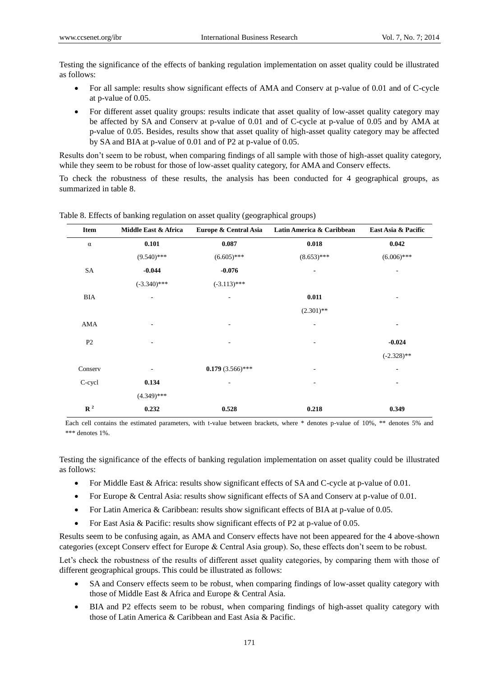Testing the significance of the effects of banking regulation implementation on asset quality could be illustrated as follows:

- For all sample: results show significant effects of AMA and Conserv at p-value of 0.01 and of C-cycle at p-value of 0.05.
- For different asset quality groups: results indicate that asset quality of low-asset quality category may be affected by SA and Conserv at p-value of 0.01 and of C-cycle at p-value of 0.05 and by AMA at p-value of 0.05. Besides, results show that asset quality of high-asset quality category may be affected by SA and BIA at p-value of 0.01 and of P2 at p-value of 0.05.

Results don't seem to be robust, when comparing findings of all sample with those of high-asset quality category, while they seem to be robust for those of low-asset quality category, for AMA and Conserv effects.

To check the robustness of these results, the analysis has been conducted for 4 geographical groups, as summarized in table 8.

| Item           | Middle East & Africa     | Europe & Central Asia    | Latin America & Caribbean | East Asia & Pacific |
|----------------|--------------------------|--------------------------|---------------------------|---------------------|
| $\alpha$       | 0.101                    | 0.087                    | 0.018                     | 0.042               |
|                | $(9.540)$ ***            | $(6.605)$ ***            | $(8.653)$ ***             | $(6.006)$ ***       |
| SA             | $-0.044$                 | $-0.076$                 |                           |                     |
|                | $(-3.340)$ ***           | $(-3.113)$ ***           |                           |                     |
| BIA            | $\overline{\phantom{0}}$ | $\overline{\phantom{a}}$ | 0.011                     |                     |
|                |                          |                          | $(2.301)$ **              |                     |
| AMA            | -                        | ٠                        | $\overline{a}$            | ٠                   |
| P <sub>2</sub> | ۰                        | $\overline{\phantom{a}}$ | $\overline{\phantom{0}}$  | $-0.024$            |
|                |                          |                          |                           | $(-2.328)$ **       |
| Conserv        | ۰                        | $0.179(3.566)$ ***       | ۰                         |                     |
| C-cycl         | 0.134                    | $\overline{a}$           | $\overline{\phantom{0}}$  |                     |
|                | $(4.349)$ ***            |                          |                           |                     |
| $\mathbb{R}^2$ | 0.232                    | 0.528                    | 0.218                     | 0.349               |

Table 8. Effects of banking regulation on asset quality (geographical groups)

Each cell contains the estimated parameters, with t-value between brackets, where \* denotes p-value of 10%, \*\* denotes 5% and \*\*\* denotes 1%.

Testing the significance of the effects of banking regulation implementation on asset quality could be illustrated as follows:

- For Middle East & Africa: results show significant effects of SA and C-cycle at p-value of 0.01.
- For Europe & Central Asia: results show significant effects of SA and Conserv at p-value of 0.01.
- For Latin America & Caribbean: results show significant effects of BIA at p-value of 0.05.
- For East Asia & Pacific: results show significant effects of P2 at p-value of 0.05.

Results seem to be confusing again, as AMA and Conserv effects have not been appeared for the 4 above-shown categories (except Conserv effect for Europe & Central Asia group). So, these effects don't seem to be robust.

Let's check the robustness of the results of different asset quality categories, by comparing them with those of different geographical groups. This could be illustrated as follows:

- SA and Conserv effects seem to be robust, when comparing findings of low-asset quality category with those of Middle East & Africa and Europe & Central Asia.
- BIA and P2 effects seem to be robust, when comparing findings of high-asset quality category with those of Latin America & Caribbean and East Asia & Pacific.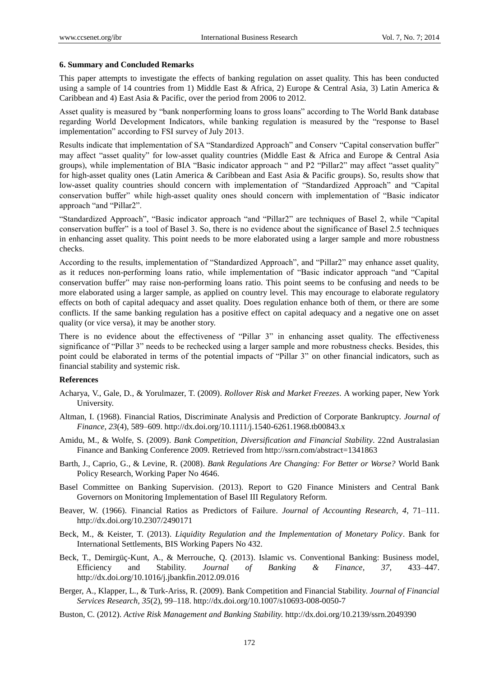#### **6. Summary and Concluded Remarks**

This paper attempts to investigate the effects of banking regulation on asset quality. This has been conducted using a sample of 14 countries from 1) Middle East & Africa, 2) Europe & Central Asia, 3) Latin America & Caribbean and 4) East Asia & Pacific, over the period from 2006 to 2012.

Asset quality is measured by "bank nonperforming loans to gross loans" according to The World Bank database regarding World Development Indicators, while banking regulation is measured by the "response to Basel implementation" according to FSI survey of July 2013.

Results indicate that implementation of SA "Standardized Approach" and Conserv "Capital conservation buffer" may affect "asset quality" for low-asset quality countries (Middle East & Africa and Europe & Central Asia groups), while implementation of BIA "Basic indicator approach " and P2 "Pillar2" may affect "asset quality" for high-asset quality ones (Latin America & Caribbean and East Asia & Pacific groups). So, results show that low-asset quality countries should concern with implementation of "Standardized Approach" and "Capital conservation buffer" while high-asset quality ones should concern with implementation of "Basic indicator approach "and "Pillar2".

"Standardized Approach", "Basic indicator approach "and "Pillar2" are techniques of Basel 2, while "Capital conservation buffer" is a tool of Basel 3. So, there is no evidence about the significance of Basel 2.5 techniques in enhancing asset quality. This point needs to be more elaborated using a larger sample and more robustness checks.

According to the results, implementation of "Standardized Approach", and "Pillar2" may enhance asset quality, as it reduces non-performing loans ratio, while implementation of "Basic indicator approach "and "Capital conservation buffer" may raise non-performing loans ratio. This point seems to be confusing and needs to be more elaborated using a larger sample, as applied on country level. This may encourage to elaborate regulatory effects on both of capital adequacy and asset quality. Does regulation enhance both of them, or there are some conflicts. If the same banking regulation has a positive effect on capital adequacy and a negative one on asset quality (or vice versa), it may be another story.

There is no evidence about the effectiveness of "Pillar 3" in enhancing asset quality. The effectiveness significance of "Pillar 3" needs to be rechecked using a larger sample and more robustness checks. Besides, this point could be elaborated in terms of the potential impacts of "Pillar 3" on other financial indicators, such as financial stability and systemic risk.

#### **References**

- Acharya, V., Gale, D., & Yorulmazer, T. (2009). *Rollover Risk and Market Freezes*. A working paper, New York University.
- Altman, I. (1968). Financial Ratios, Discriminate Analysis and Prediction of Corporate Bankruptcy. *Journal of Finance, 23*(4), 589–609. http://dx.doi.org/10.1111/j.1540-6261.1968.tb00843.x
- Amidu, M., & Wolfe, S. (2009). *Bank Competition, Diversification and Financial Stability*. 22nd Australasian Finance and Banking Conference 2009. Retrieved from http://ssrn.com/abstract=1341863
- Barth, J., Caprio, G., & Levine, R. (2008). *Bank Regulations Are Changing: For Better or Worse?* World Bank Policy Research, Working Paper No 4646.
- Basel Committee on Banking Supervision. (2013). Report to G20 Finance Ministers and Central Bank Governors on Monitoring Implementation of Basel III Regulatory Reform.
- Beaver, W. (1966). Financial Ratios as Predictors of Failure. *Journal of Accounting Research, 4*, 71–111. http://dx.doi.org/10.2307/2490171
- Beck, M., & Keister, T. (2013). *Liquidity Regulation and the Implementation of Monetary Policy*. Bank for International Settlements, BIS Working Papers No 432.
- Beck, T., Demirgüç-Kunt, A., & Merrouche, Q. (2013). Islamic vs. Conventional Banking: Business model, Efficiency and Stability. *Journal of Banking & Finance, 37*, 433–447. http://dx.doi.org/10.1016/j.jbankfin.2012.09.016
- Berger, A., Klapper, L., & Turk-Ariss, R. (2009). Bank Competition and Financial Stability. *Journal of Financial Services Research, 35*(2), 99–118. http://dx.doi.org/10.1007/s10693-008-0050-7
- Buston, C. (2012). *Active Risk Management and Banking Stability.* http://dx.doi.org/10.2139/ssrn.2049390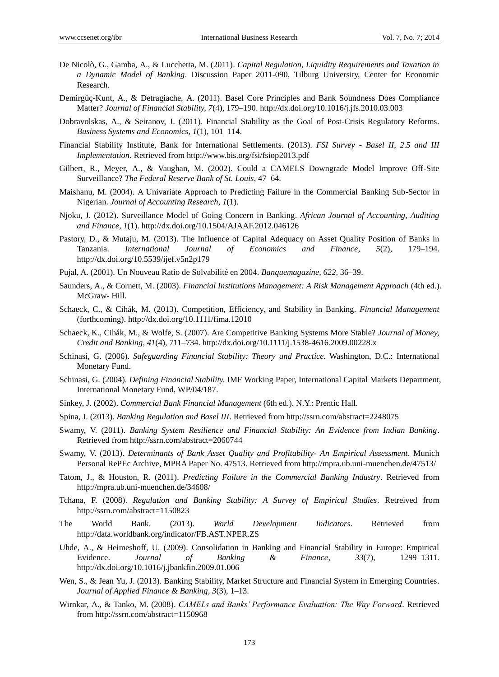- De Nicolò, G., Gamba, A., & Lucchetta, M. (2011). *Capital Regulation, Liquidity Requirements and Taxation in a Dynamic Model of Banking*. Discussion Paper 2011-090, Tilburg University, Center for Economic Research.
- Demirgüç-Kunt, A., & Detragiache, A. (2011). Basel Core Principles and Bank Soundness Does Compliance Matter? *Journal of Financial Stability, 7*(4), 179–190. http://dx.doi.org/10.1016/j.jfs.2010.03.003
- Dobravolskas, A., & Seiranov, J. (2011). Financial Stability as the Goal of Post-Crisis Regulatory Reforms. *Business Systems and Economics, 1*(1), 101–114.
- Financial Stability Institute, Bank for International Settlements. (2013). *FSI Survey - Basel II, 2.5 and III Implementation*. Retrieved from http://www.bis.org/fsi/fsiop2013.pdf
- Gilbert, R., Meyer, A., & Vaughan, M. (2002). Could a CAMELS Downgrade Model Improve Off-Site Surveillance? *The Federal Reserve Bank of St. Louis*, 47–64.
- Maishanu, M. (2004). A Univariate Approach to Predicting Failure in the Commercial Banking Sub-Sector in Nigerian. *Journal of Accounting Research, 1*(1).
- Njoku, J. (2012). Surveillance Model of Going Concern in Banking. *African Journal of Accounting, Auditing and Finance, 1*(1). http://dx.doi.org/10.1504/AJAAF.2012.046126
- Pastory, D., & Mutaju, M. (2013). The Influence of Capital Adequacy on Asset Quality Position of Banks in Tanzania. *International Journal of Economics and Finance, 5*(2), 179–194. http://dx.doi.org/10.5539/ijef.v5n2p179
- Pujal, A. (2001). Un Nouveau Ratio de Solvabilité en 2004. *Banquemagazine, 622,* 36–39.
- Saunders, A., & Cornett, M. (2003). *Financial Institutions Management: A Risk Management Approach* (4th ed.). McGraw- Hill.
- Schaeck, C., & Cihák, M. (2013). Competition, Efficiency, and Stability in Banking. *Financial Management* (forthcoming). http://dx.doi.org/10.1111/fima.12010
- Schaeck, K., Cihák, M., & Wolfe, S. (2007). Are Competitive Banking Systems More Stable? *Journal of Money, Credit and Banking, 41*(4), 711–734. http://dx.doi.org/10.1111/j.1538-4616.2009.00228.x
- Schinasi, G. (2006). *Safeguarding Financial Stability: Theory and Practice.* Washington, D.C.: International Monetary Fund.
- Schinasi, G. (2004). *Defining Financial Stability.* IMF Working Paper, International Capital Markets Department, International Monetary Fund, WP/04/187.
- Sinkey, J. (2002). *Commercial Bank Financial Management* (6th ed.). N.Y.: Prentic Hall.
- Spina, J. (2013). *Banking Regulation and Basel III*. Retrieved from http://ssrn.com/abstract=2248075
- Swamy, V. (2011). *Banking System Resilience and Financial Stability: An Evidence from Indian Banking*. Retrieved from http://ssrn.com/abstract=2060744
- Swamy, V. (2013). *Determinants of Bank Asset Quality and Profitability- An Empirical Assessment*. Munich Personal RePEc Archive, MPRA Paper No. 47513. Retrieved from http://mpra.ub.uni-muenchen.de/47513/
- Tatom, J., & Houston, R. (2011). *Predicting Failure in the Commercial Banking Industry*. Retrieved from http://mpra.ub.uni-muenchen.de/34608/
- Tchana, F. (2008). *Regulation and Banking Stability: A Survey of Empirical Studies*. Retreived from http://ssrn.com/abstract=1150823
- The World Bank. (2013). *World Development Indicators*. Retrieved from http://data.worldbank.org/indicator/FB.AST.NPER.ZS
- Uhde, A., & Heimeshoff, U. (2009). Consolidation in Banking and Financial Stability in Europe: Empirical Evidence. *Journal of Banking & Finance, 33*(7), 1299–1311. http://dx.doi.org/10.1016/j.jbankfin.2009.01.006
- Wen, S., & Jean Yu, J. (2013). Banking Stability, Market Structure and Financial System in Emerging Countries. *Journal of Applied Finance & Banking, 3*(3), 1–13.
- Wirnkar, A., & Tanko, M. (2008). *CAMELs and Banks' Performance Evaluation: The Way Forward*. Retrieved from http://ssrn.com/abstract=1150968